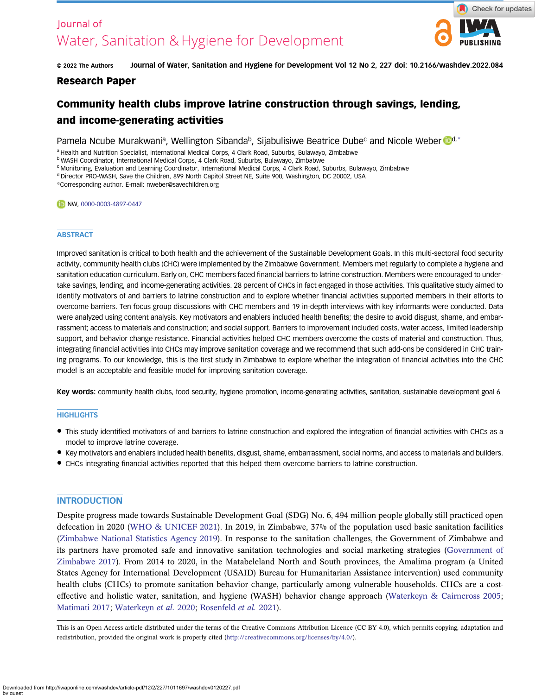# lournal of Water, Sanitation & Hygiene for Development



© 2022 The Authors Journal of Water, Sanitation and Hygiene for Development Vol 12 No 2, 227 doi: 10.2166/washdev.2022.084

## Research Paper

## Community health clubs improve latrine construction through savings, lending, and income-generating activities

Pamela Ncube Murakwania, Wellington Sibanda<sup>b</sup>, Sijabulisiwe Beatrice Dubec and Nicole Weber **Dd**,\*

a Health and Nutrition Specialist, International Medical Corps, 4 Clark Road, Suburbs, Bulawayo, Zimbabwe

<sup>b</sup> WASH Coordinator, International Medical Corps, 4 Clark Road, Suburbs, Bulawayo, Zimbabwe

<sup>c</sup> Monitoring, Evaluation and Learning Coordinator, International Medical Corps, 4 Clark Road, Suburbs, Bulawayo, Zimbabwe

<sup>d</sup> Director PRO-WASH, Save the Children, 899 North Capitol Street NE, Suite 900, Washington, DC 20002, USA

\*Corresponding author. E-mail: [nweber@savechildren.org](mailto:nweber@savechildren.org)

#### NW, [0000-0003-4897-0447](http://orcid.org/0000-0003-4897-0447)

#### **ABSTRACT**

Improved sanitation is critical to both health and the achievement of the Sustainable Development Goals. In this multi-sectoral food security activity, community health clubs (CHC) were implemented by the Zimbabwe Government. Members met regularly to complete a hygiene and sanitation education curriculum. Early on, CHC members faced financial barriers to latrine construction. Members were encouraged to undertake savings, lending, and income-generating activities. 28 percent of CHCs in fact engaged in those activities. This qualitative study aimed to identify motivators of and barriers to latrine construction and to explore whether financial activities supported members in their efforts to overcome barriers. Ten focus group discussions with CHC members and 19 in-depth interviews with key informants were conducted. Data were analyzed using content analysis. Key motivators and enablers included health benefits; the desire to avoid disgust, shame, and embarrassment; access to materials and construction; and social support. Barriers to improvement included costs, water access, limited leadership support, and behavior change resistance. Financial activities helped CHC members overcome the costs of material and construction. Thus, integrating financial activities into CHCs may improve sanitation coverage and we recommend that such add-ons be considered in CHC training programs. To our knowledge, this is the first study in Zimbabwe to explore whether the integration of financial activities into the CHC model is an acceptable and feasible model for improving sanitation coverage.

Key words: community health clubs, food security, hygiene promotion, income-generating activities, sanitation, sustainable development goal 6

#### **HIGHLIGHTS**

- This study identified motivators of and barriers to latrine construction and explored the integration of financial activities with CHCs as a model to improve latrine coverage.
- Key motivators and enablers included health benefits, disgust, shame, embarrassment, social norms, and access to materials and builders.
- CHCs integrating financial activities reported that this helped them overcome barriers to latrine construction.

#### **INTRODUCTION**

Despite progress made towards Sustainable Development Goal (SDG) No. 6, 494 million people globally still practiced open defecation in 2020 [\(WHO & UNICEF 2021\)](#page-9-0). In 2019, in Zimbabwe, 37% of the population used basic sanitation facilities [\(Zimbabwe National Statistics Agency 2019\)](#page-9-0). In response to the sanitation challenges, the Government of Zimbabwe and its partners have promoted safe and innovative sanitation technologies and social marketing strategies ([Government of](#page-9-0) [Zimbabwe 2017\)](#page-9-0). From 2014 to 2020, in the Matabeleland North and South provinces, the Amalima program (a United States Agency for International Development (USAID) Bureau for Humanitarian Assistance intervention) used community health clubs (CHCs) to promote sanitation behavior change, particularly among vulnerable households. CHCs are a costeffective and holistic water, sanitation, and hygiene (WASH) behavior change approach ([Waterkeyn & Cairncross 2005](#page-9-0); [Matimati 2017;](#page-9-0) [Waterkeyn](#page-9-0) et al. 2020; [Rosenfeld](#page-9-0) et al. 2021).

This is an Open Access article distributed under the terms of the Creative Commons Attribution Licence (CC BY 4.0), which permits copying, adaptation and redistribution, provided the original work is properly cited ([http://creativecommons.org/licenses/by/4.0/\)](http://creativecommons.org/licenses/by/4.0/).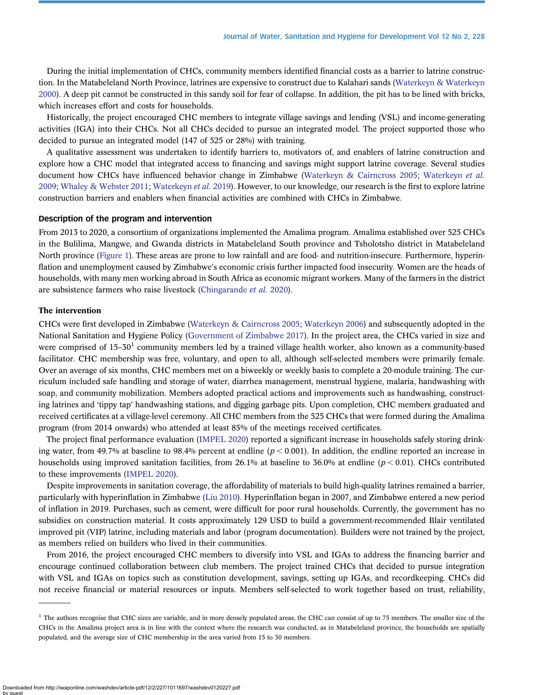During the initial implementation of CHCs, community members identified financial costs as a barrier to latrine construction. In the Matabeleland North Province, latrines are expensive to construct due to Kalahari sands ([Waterkeyn & Waterkeyn](#page-9-0) [2000](#page-9-0)). A deep pit cannot be constructed in this sandy soil for fear of collapse. In addition, the pit has to be lined with bricks, which increases effort and costs for households.

Historically, the project encouraged CHC members to integrate village savings and lending (VSL) and income-generating activities (IGA) into their CHCs. Not all CHCs decided to pursue an integrated model. The project supported those who decided to pursue an integrated model (147 of 525 or 28%) with training.

A qualitative assessment was undertaken to identify barriers to, motivators of, and enablers of latrine construction and explore how a CHC model that integrated access to financing and savings might support latrine coverage. Several studies document how CHCs have influenced behavior change in Zimbabwe ([Waterkeyn & Cairncross 2005](#page-9-0); [Waterkeyn](#page-9-0) et al. [2009](#page-9-0); [Whaley & Webster 2011](#page-9-0); [Waterkeyn](#page-9-0) et al. 2019). However, to our knowledge, our research is the first to explore latrine construction barriers and enablers when financial activities are combined with CHCs in Zimbabwe.

## Description of the program and intervention

From 2013 to 2020, a consortium of organizations implemented the Amalima program. Amalima established over 525 CHCs in the Bulilima, Mangwe, and Gwanda districts in Matabeleland South province and Tsholotsho district in Matabeleland North province ([Figure 1](#page-2-0)). These areas are prone to low rainfall and are food- and nutrition-insecure. Furthermore, hyperinflation and unemployment caused by Zimbabwe's economic crisis further impacted food insecurity. Women are the heads of households, with many men working abroad in South Africa as economic migrant workers. Many of the farmers in the district are subsistence farmers who raise livestock ([Chingarande](#page-9-0) et al. 2020).

#### The intervention

CHCs were first developed in Zimbabwe ([Waterkeyn & Cairncross 2005](#page-9-0); [Waterkeyn 2006\)](#page-9-0) and subsequently adopted in the National Sanitation and Hygiene Policy [\(Government of Zimbabwe 2017\)](#page-9-0). In the project area, the CHCs varied in size and were comprised of  $15-30<sup>1</sup>$  community members led by a trained village health worker, also known as a community-based facilitator. CHC membership was free, voluntary, and open to all, although self-selected members were primarily female. Over an average of six months, CHC members met on a biweekly or weekly basis to complete a 20-module training. The curriculum included safe handling and storage of water, diarrhea management, menstrual hygiene, malaria, handwashing with soap, and community mobilization. Members adopted practical actions and improvements such as handwashing, constructing latrines and 'tippy tap' handwashing stations, and digging garbage pits. Upon completion, CHC members graduated and received certificates at a village-level ceremony. All CHC members from the 525 CHCs that were formed during the Amalima program (from 2014 onwards) who attended at least 85% of the meetings received certificates.

The project final performance evaluation ([IMPEL 2020](#page-9-0)) reported a significant increase in households safely storing drinking water, from 49.7% at baseline to 98.4% percent at endline  $(p < 0.001)$ . In addition, the endline reported an increase in households using improved sanitation facilities, from 26.1% at baseline to 36.0% at endline ( $p < 0.01$ ). CHCs contributed to these improvements [\(IMPEL 2020](#page-9-0)).

Despite improvements in sanitation coverage, the affordability of materials to build high-quality latrines remained a barrier, particularly with hyperinflation in Zimbabwe ([Liu 2010\)](#page-9-0). Hyperinflation began in 2007, and Zimbabwe entered a new period of inflation in 2019. Purchases, such as cement, were difficult for poor rural households. Currently, the government has no subsidies on construction material. It costs approximately 129 USD to build a government-recommended Blair ventilated improved pit (VIP) latrine, including materials and labor (program documentation). Builders were not trained by the project, as members relied on builders who lived in their communities.

From 2016, the project encouraged CHC members to diversify into VSL and IGAs to address the financing barrier and encourage continued collaboration between club members. The project trained CHCs that decided to pursue integration with VSL and IGAs on topics such as constitution development, savings, setting up IGAs, and recordkeeping. CHCs did not receive financial or material resources or inputs. Members self-selected to work together based on trust, reliability,

<sup>&</sup>lt;sup>1</sup> The authors recognise that CHC sizes are variable, and in more densely populated areas, the CHC can consist of up to 75 members. The smaller size of the CHCs in the Amalima project area is in line with the context where the research was conducted, as in Matabeleland province, the households are spatially populated, and the average size of CHC membership in the area varied from 15 to 30 members.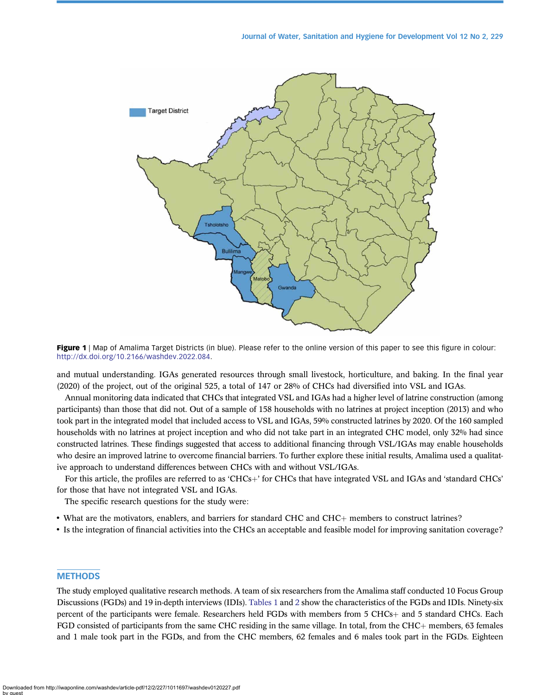<span id="page-2-0"></span>

Figure 1 | Map of Amalima Target Districts (in blue). Please refer to the online version of this paper to see this figure in colour: [http://dx.doi.org/10.2166/washdev.2022.084.](http://dx.doi.org/10.2166/washdev.2022.084)

and mutual understanding. IGAs generated resources through small livestock, horticulture, and baking. In the final year (2020) of the project, out of the original 525, a total of 147 or 28% of CHCs had diversified into VSL and IGAs.

Annual monitoring data indicated that CHCs that integrated VSL and IGAs had a higher level of latrine construction (among participants) than those that did not. Out of a sample of 158 households with no latrines at project inception (2013) and who took part in the integrated model that included access to VSL and IGAs, 59% constructed latrines by 2020. Of the 160 sampled households with no latrines at project inception and who did not take part in an integrated CHC model, only 32% had since constructed latrines. These findings suggested that access to additional financing through VSL/IGAs may enable households who desire an improved latrine to overcome financial barriers. To further explore these initial results, Amalima used a qualitative approach to understand differences between CHCs with and without VSL/IGAs.

For this article, the profiles are referred to as 'CHCs+' for CHCs that have integrated VSL and IGAs and 'standard CHCs' for those that have not integrated VSL and IGAs.

The specific research questions for the study were:

• What are the motivators, enablers, and barriers for standard CHC and CHC+ members to construct latrines?

• Is the integration of financial activities into the CHCs an acceptable and feasible model for improving sanitation coverage?

## **METHODS**

The study employed qualitative research methods. A team of six researchers from the Amalima staff conducted 10 Focus Group Discussions (FGDs) and 19 in-depth interviews (IDIs). [Tables 1](#page-3-0) and [2](#page-3-0) show the characteristics of the FGDs and IDIs. Ninety-six percent of the participants were female. Researchers held FGDs with members from 5 CHCs+ and 5 standard CHCs. Each FGD consisted of participants from the same CHC residing in the same village. In total, from the CHC $+$  members, 63 females and 1 male took part in the FGDs, and from the CHC members, 62 females and 6 males took part in the FGDs. Eighteen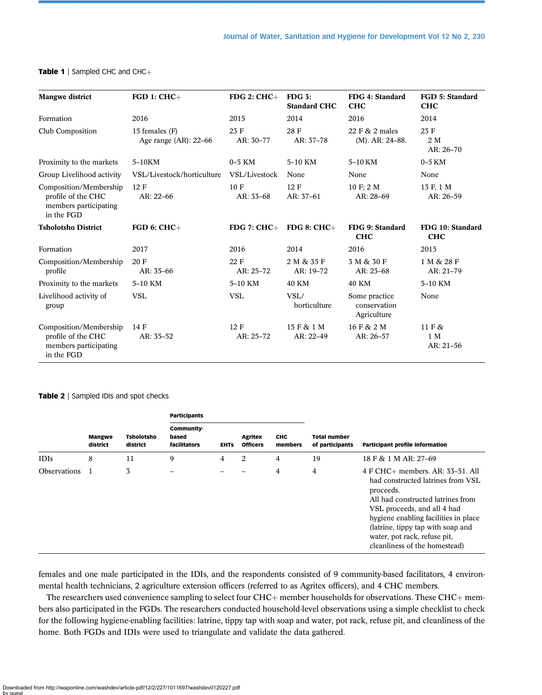| <b>Mangwe district</b>                                                              | $FGD 1: CHC+$                              | $FDG 2:CHC+$      | $FDG3$ :<br><b>Standard CHC</b> | FDG 4: Standard<br><b>CHC</b>                | <b>FGD 5: Standard</b><br><b>CHC</b> |
|-------------------------------------------------------------------------------------|--------------------------------------------|-------------------|---------------------------------|----------------------------------------------|--------------------------------------|
| Formation                                                                           | 2016                                       | 2015              | 2014                            | 2016                                         | 2014                                 |
| Club Composition                                                                    | 15 females (F)<br>Age range $(AR)$ : 22-66 | 23 F<br>AR: 30-77 | 28 F<br>AR: 37-78               | 22 F & 2 males<br>$(M)$ . AR: 24-88.         | 23 F<br>$2\ \mathrm{M}$<br>AR: 26-70 |
| Proximity to the markets                                                            | 5-10KM                                     | $0-5$ KM          | 5-10 KM                         | 5-10 KM                                      | $0-5$ KM                             |
| Group Livelihood activity                                                           | VSL/Livestock/horticulture                 | VSL/Livestock     | None                            | None                                         | None                                 |
| Composition/Membership<br>profile of the CHC<br>members participating<br>in the FGD | 12 F<br>AR: 22-66                          | 10 F<br>AR: 33-68 | 12 F<br>AR: 37-61               | 10 F; 2 M<br>AR: 28-69                       | 13 F, 1 M<br>AR: 26-59               |
| <b>Tsholotsho District</b>                                                          | $FGD 6: CHC+$                              | $FDG 7: CHC+$     | FDG 8: $CHC+$                   | FDG 9: Standard<br><b>CHC</b>                | FDG 10: Standard<br><b>CHC</b>       |
| Formation                                                                           | 2017                                       | 2016              | 2014                            | 2016                                         | 2015                                 |
| Composition/Membership<br>profile                                                   | 20 F<br>AR: 35-66                          | 22 F<br>AR: 25-72 | 2 M & 35 F<br>AR: 19-72         | 3 M & 30 F<br>AR: 23-68                      | 1 M & 28 F<br>AR: 21-79              |
| Proximity to the markets                                                            | 5-10 KM                                    | 5-10 KM           | <b>40 KM</b>                    | <b>40 KM</b>                                 | 5-10 KM                              |
| Livelihood activity of<br>group                                                     | <b>VSL</b>                                 | <b>VSL</b>        | VSL/<br>horticulture            | Some practice<br>conservation<br>Agriculture | None                                 |
| Composition/Membership<br>profile of the CHC<br>members participating<br>in the FGD | 14 F<br>AR: 35-52                          | 12 F<br>AR: 25-72 | 15 F & 1 M<br>AR: 22-49         | 16 F & 2 M<br>AR: 26-57                      | 11 F &<br>1 M<br>$AR: 21-56$         |

## <span id="page-3-0"></span>Table 1 | Sampled CHC and CHC $+$

#### Table 2 | Sampled IDIs and spot checks

|                |                                                            |                                           | <b>Participants</b> |                            |                       |                                        |                                        |                                                                                                                                                                                                                                                                                                      |
|----------------|------------------------------------------------------------|-------------------------------------------|---------------------|----------------------------|-----------------------|----------------------------------------|----------------------------------------|------------------------------------------------------------------------------------------------------------------------------------------------------------------------------------------------------------------------------------------------------------------------------------------------------|
|                | <b>Tsholotsho</b><br><b>Mangwe</b><br>district<br>district | <b>Community</b><br>based<br>facilitators | <b>EHTS</b>         | Agritex<br><b>Officers</b> | <b>CHC</b><br>members | <b>Total number</b><br>of participants | <b>Participant profile information</b> |                                                                                                                                                                                                                                                                                                      |
| <b>IDIs</b>    | 8                                                          | 11                                        | 9                   | 4                          | 2                     | 4                                      | 19                                     | 18 F & 1 M AR: 27-69                                                                                                                                                                                                                                                                                 |
| Observations 1 |                                                            | 3                                         |                     |                            |                       | 4                                      | 4                                      | 4 F CHC+ members. AR: 33-51. All<br>had constructed latrines from VSL<br>proceeds.<br>All had constructed latrines from<br>VSL proceeds, and all 4 had<br>hygiene enabling facilities in place<br>(latrine, tippy tap with soap and<br>water, pot rack, refuse pit,<br>cleanliness of the homestead) |

females and one male participated in the IDIs, and the respondents consisted of 9 community-based facilitators, 4 environmental health technicians, 2 agriculture extension officers (referred to as Agritex officers), and 4 CHC members.

The researchers used convenience sampling to select four CHC $+$  member households for observations. These CHC $+$  members also participated in the FGDs. The researchers conducted household-level observations using a simple checklist to check for the following hygiene-enabling facilities: latrine, tippy tap with soap and water, pot rack, refuse pit, and cleanliness of the home. Both FGDs and IDIs were used to triangulate and validate the data gathered.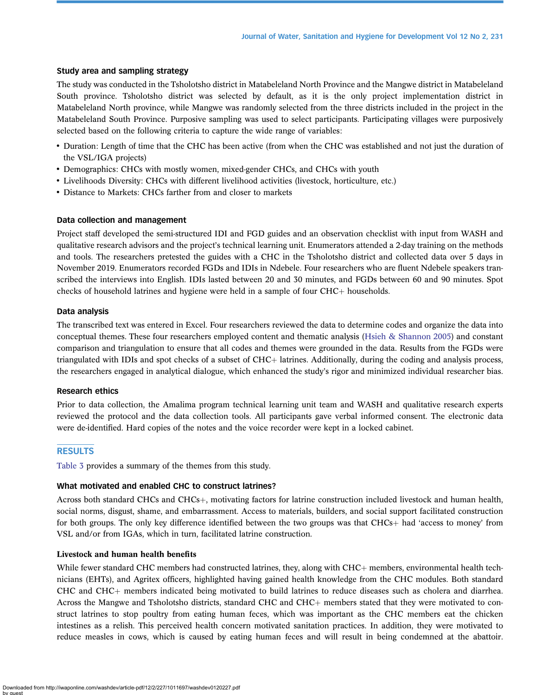#### Study area and sampling strategy

The study was conducted in the Tsholotsho district in Matabeleland North Province and the Mangwe district in Matabeleland South province. Tsholotsho district was selected by default, as it is the only project implementation district in Matabeleland North province, while Mangwe was randomly selected from the three districts included in the project in the Matabeleland South Province. Purposive sampling was used to select participants. Participating villages were purposively selected based on the following criteria to capture the wide range of variables:

- Duration: Length of time that the CHC has been active (from when the CHC was established and not just the duration of the VSL/IGA projects)
- Demographics: CHCs with mostly women, mixed-gender CHCs, and CHCs with youth
- Livelihoods Diversity: CHCs with different livelihood activities (livestock, horticulture, etc.)
- Distance to Markets: CHCs farther from and closer to markets

#### Data collection and management

Project staff developed the semi-structured IDI and FGD guides and an observation checklist with input from WASH and qualitative research advisors and the project's technical learning unit. Enumerators attended a 2-day training on the methods and tools. The researchers pretested the guides with a CHC in the Tsholotsho district and collected data over 5 days in November 2019. Enumerators recorded FGDs and IDIs in Ndebele. Four researchers who are fluent Ndebele speakers transcribed the interviews into English. IDIs lasted between 20 and 30 minutes, and FGDs between 60 and 90 minutes. Spot checks of household latrines and hygiene were held in a sample of four  $CHC<sub>+</sub>$  households.

#### Data analysis

The transcribed text was entered in Excel. Four researchers reviewed the data to determine codes and organize the data into conceptual themes. These four researchers employed content and thematic analysis [\(Hsieh & Shannon 2005\)](#page-9-0) and constant comparison and triangulation to ensure that all codes and themes were grounded in the data. Results from the FGDs were triangulated with IDIs and spot checks of a subset of  $CHC<sub>+</sub>$  latrines. Additionally, during the coding and analysis process, the researchers engaged in analytical dialogue, which enhanced the study's rigor and minimized individual researcher bias.

#### Research ethics

Prior to data collection, the Amalima program technical learning unit team and WASH and qualitative research experts reviewed the protocol and the data collection tools. All participants gave verbal informed consent. The electronic data were de-identified. Hard copies of the notes and the voice recorder were kept in a locked cabinet.

## **RESULTS**

[Table 3](#page-5-0) provides a summary of the themes from this study.

## What motivated and enabled CHC to construct latrines?

Across both standard CHCs and CHCs $+$ , motivating factors for latrine construction included livestock and human health, social norms, disgust, shame, and embarrassment. Access to materials, builders, and social support facilitated construction for both groups. The only key difference identified between the two groups was that  $CHCs<sub>+</sub>$  had 'access to money' from VSL and/or from IGAs, which in turn, facilitated latrine construction.

#### Livestock and human health benefits

While fewer standard CHC members had constructed latrines, they, along with  $CHC<sub>+</sub>$  members, environmental health technicians (EHTs), and Agritex officers, highlighted having gained health knowledge from the CHC modules. Both standard CHC and CHC+ members indicated being motivated to build latrines to reduce diseases such as cholera and diarrhea. Across the Mangwe and Tsholotsho districts, standard CHC and CHC $+$  members stated that they were motivated to construct latrines to stop poultry from eating human feces, which was important as the CHC members eat the chicken intestines as a relish. This perceived health concern motivated sanitation practices. In addition, they were motivated to reduce measles in cows, which is caused by eating human feces and will result in being condemned at the abattoir.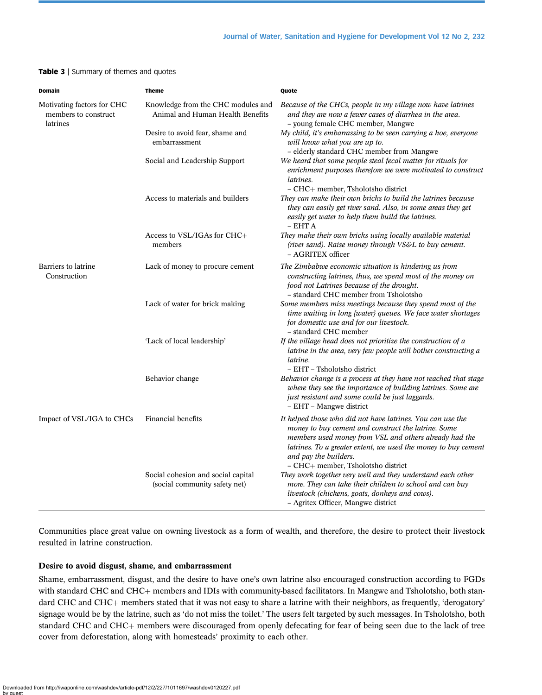#### <span id="page-5-0"></span>Table 3 | Summary of themes and quotes

| <b>Domain</b>                                                  | <b>Theme</b>                                                           | Quote                                                                                                                                                                                                                                                                                                        |  |  |  |
|----------------------------------------------------------------|------------------------------------------------------------------------|--------------------------------------------------------------------------------------------------------------------------------------------------------------------------------------------------------------------------------------------------------------------------------------------------------------|--|--|--|
| Motivating factors for CHC<br>members to construct<br>latrines | Knowledge from the CHC modules and<br>Animal and Human Health Benefits | Because of the CHCs, people in my village now have latrines<br>and they are now a fewer cases of diarrhea in the area.<br>- young female CHC member, Mangwe                                                                                                                                                  |  |  |  |
|                                                                | Desire to avoid fear, shame and<br>embarrassment                       | My child, it's embarrassing to be seen carrying a hoe, everyone<br>will know what you are up to.<br>- elderly standard CHC member from Mangwe                                                                                                                                                                |  |  |  |
|                                                                | Social and Leadership Support                                          | We heard that some people steal fecal matter for rituals for<br>enrichment purposes therefore we were motivated to construct<br>latrines.<br>- CHC+ member, Tsholotsho district                                                                                                                              |  |  |  |
|                                                                | Access to materials and builders                                       | They can make their own bricks to build the latrines because<br>they can easily get river sand. Also, in some areas they get<br>easily get water to help them build the latrines.<br>$- EHT A$                                                                                                               |  |  |  |
|                                                                | Access to VSL/IGAs for CHC+<br>members                                 | They make their own bricks using locally available material<br>(river sand). Raise money through VS&L to buy cement.<br>- AGRITEX officer                                                                                                                                                                    |  |  |  |
| Barriers to latrine<br>Construction                            | Lack of money to procure cement                                        | The Zimbabwe economic situation is hindering us from<br>constructing latrines, thus, we spend most of the money on<br>food not Latrines because of the drought.<br>- standard CHC member from Tsholotsho                                                                                                     |  |  |  |
|                                                                | Lack of water for brick making                                         | Some members miss meetings because they spend most of the<br>time waiting in long {water} queues. We face water shortages<br>for domestic use and for our livestock.<br>- standard CHC member                                                                                                                |  |  |  |
|                                                                | 'Lack of local leadership'                                             | If the village head does not prioritize the construction of a<br>latrine in the area, very few people will bother constructing a<br>latrine.<br>- EHT - Tsholotsho district                                                                                                                                  |  |  |  |
|                                                                | Behavior change                                                        | Behavior change is a process at they have not reached that stage<br>where they see the importance of building latrines. Some are<br>just resistant and some could be just laggards.<br>- EHT - Mangwe district                                                                                               |  |  |  |
| Impact of VSL/IGA to CHCs                                      | Financial benefits                                                     | It helped those who did not have latrines. You can use the<br>money to buy cement and construct the latrine. Some<br>members used money from VSL and others already had the<br>latrines. To a greater extent, we used the money to buy cement<br>and pay the builders.<br>- CHC+ member, Tsholotsho district |  |  |  |
|                                                                | Social cohesion and social capital<br>(social community safety net)    | They work together very well and they understand each other<br>more. They can take their children to school and can buy<br>livestock (chickens, goats, donkeys and cows).<br>- Agritex Officer, Mangwe district                                                                                              |  |  |  |

Communities place great value on owning livestock as a form of wealth, and therefore, the desire to protect their livestock resulted in latrine construction.

## Desire to avoid disgust, shame, and embarrassment

Shame, embarrassment, disgust, and the desire to have one's own latrine also encouraged construction according to FGDs with standard CHC and CHC+ members and IDIs with community-based facilitators. In Mangwe and Tsholotsho, both standard CHC and CHC+ members stated that it was not easy to share a latrine with their neighbors, as frequently, 'derogatory' signage would be by the latrine, such as 'do not miss the toilet.' The users felt targeted by such messages. In Tsholotsho, both standard CHC and CHC+ members were discouraged from openly defecating for fear of being seen due to the lack of tree cover from deforestation, along with homesteads' proximity to each other.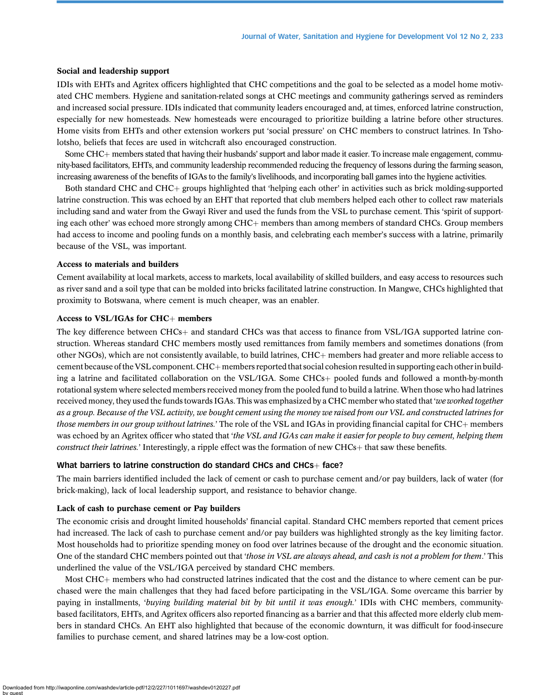#### Social and leadership support

IDIs with EHTs and Agritex officers highlighted that CHC competitions and the goal to be selected as a model home motivated CHC members. Hygiene and sanitation-related songs at CHC meetings and community gatherings served as reminders and increased social pressure. IDIs indicated that community leaders encouraged and, at times, enforced latrine construction, especially for new homesteads. New homesteads were encouraged to prioritize building a latrine before other structures. Home visits from EHTs and other extension workers put 'social pressure' on CHC members to construct latrines. In Tsholotsho, beliefs that feces are used in witchcraft also encouraged construction.

Some CHC+ members stated that having their husbands' support and labor made it easier. To increase male engagement, community-based facilitators, EHTs, and community leadership recommended reducing the frequency of lessons during the farming season, increasing awareness of the benefits of IGAs to the family's livelihoods, and incorporating ball games into the hygiene activities.

Both standard CHC and CHC+ groups highlighted that 'helping each other' in activities such as brick molding-supported latrine construction. This was echoed by an EHT that reported that club members helped each other to collect raw materials including sand and water from the Gwayi River and used the funds from the VSL to purchase cement. This 'spirit of supporting each other' was echoed more strongly among CHC+ members than among members of standard CHCs. Group members had access to income and pooling funds on a monthly basis, and celebrating each member's success with a latrine, primarily because of the VSL, was important.

#### Access to materials and builders

Cement availability at local markets, access to markets, local availability of skilled builders, and easy access to resources such as river sand and a soil type that can be molded into bricks facilitated latrine construction. In Mangwe, CHCs highlighted that proximity to Botswana, where cement is much cheaper, was an enabler.

#### Access to VSL/IGAs for  $CHC<sub>+</sub>$  members

The key difference between CHCs+ and standard CHCs was that access to finance from VSL/IGA supported latrine construction. Whereas standard CHC members mostly used remittances from family members and sometimes donations (from other NGOs), which are not consistently available, to build latrines, CHC+ members had greater and more reliable access to cement because of the VSL component. CHC $+$  members reported that social cohesion resulted in supporting each other in building a latrine and facilitated collaboration on the VSL/IGA. Some CHCs+ pooled funds and followed a month-by-month rotational system where selected members received money from the pooled fund to build a latrine. When those who had latrines received money, they used the funds towards IGAs. This was emphasized by a CHC member who stated that 'we worked together as a group. Because of the VSL activity, we bought cement using the money we raised from our VSL and constructed latrines for those members in our group without latrines.' The role of the VSL and IGAs in providing financial capital for CHC+ members was echoed by an Agritex officer who stated that 'the VSL and IGAs can make it easier for people to buy cement, helping them construct their latrines.' Interestingly, a ripple effect was the formation of new CHCs+ that saw these benefits.

#### What barriers to latrine construction do standard CHCs and CHCs $+$  face?

The main barriers identified included the lack of cement or cash to purchase cement and/or pay builders, lack of water (for brick-making), lack of local leadership support, and resistance to behavior change.

## Lack of cash to purchase cement or Pay builders

The economic crisis and drought limited households' financial capital. Standard CHC members reported that cement prices had increased. The lack of cash to purchase cement and/or pay builders was highlighted strongly as the key limiting factor. Most households had to prioritize spending money on food over latrines because of the drought and the economic situation. One of the standard CHC members pointed out that 'those in VSL are always ahead, and cash is not a problem for them.' This underlined the value of the VSL/IGA perceived by standard CHC members.

Most CHC+ members who had constructed latrines indicated that the cost and the distance to where cement can be purchased were the main challenges that they had faced before participating in the VSL/IGA. Some overcame this barrier by paying in installments, 'buying building material bit by bit until it was enough.' IDIs with CHC members, communitybased facilitators, EHTs, and Agritex officers also reported financing as a barrier and that this affected more elderly club members in standard CHCs. An EHT also highlighted that because of the economic downturn, it was difficult for food-insecure families to purchase cement, and shared latrines may be a low-cost option.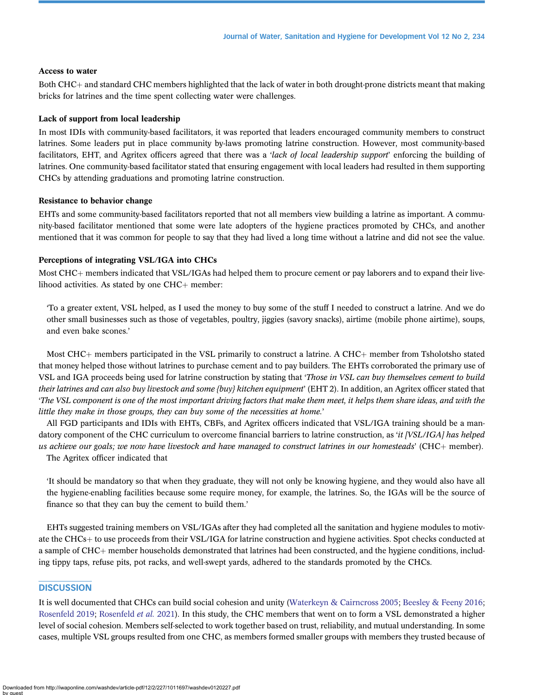## Access to water

Both CHC+ and standard CHC members highlighted that the lack of water in both drought-prone districts meant that making bricks for latrines and the time spent collecting water were challenges.

#### Lack of support from local leadership

In most IDIs with community-based facilitators, it was reported that leaders encouraged community members to construct latrines. Some leaders put in place community by-laws promoting latrine construction. However, most community-based facilitators, EHT, and Agritex officers agreed that there was a 'lack of local leadership support' enforcing the building of latrines. One community-based facilitator stated that ensuring engagement with local leaders had resulted in them supporting CHCs by attending graduations and promoting latrine construction.

#### Resistance to behavior change

EHTs and some community-based facilitators reported that not all members view building a latrine as important. A community-based facilitator mentioned that some were late adopters of the hygiene practices promoted by CHCs, and another mentioned that it was common for people to say that they had lived a long time without a latrine and did not see the value.

## Perceptions of integrating VSL/IGA into CHCs

Most CHC<sub>+</sub> members indicated that VSL/IGAs had helped them to procure cement or pay laborers and to expand their livelihood activities. As stated by one  $CHC+$  member:

'To a greater extent, VSL helped, as I used the money to buy some of the stuff I needed to construct a latrine. And we do other small businesses such as those of vegetables, poultry, jiggies (savory snacks), airtime (mobile phone airtime), soups, and even bake scones.'

Most CHC $+$  members participated in the VSL primarily to construct a latrine. A CHC $+$  member from Tsholotsho stated that money helped those without latrines to purchase cement and to pay builders. The EHTs corroborated the primary use of VSL and IGA proceeds being used for latrine construction by stating that 'Those in VSL can buy themselves cement to build their latrines and can also buy livestock and some {buy} kitchen equipment' (EHT 2). In addition, an Agritex officer stated that 'The VSL component is one of the most important driving factors that make them meet, it helps them share ideas, and with the little they make in those groups, they can buy some of the necessities at home.'

All FGD participants and IDIs with EHTs, CBFs, and Agritex officers indicated that VSL/IGA training should be a mandatory component of the CHC curriculum to overcome financial barriers to latrine construction, as 'it [VSL/IGA] has helped us achieve our goals; we now have livestock and have managed to construct latrines in our homesteads' (CHC $+$  member). The Agritex officer indicated that

'It should be mandatory so that when they graduate, they will not only be knowing hygiene, and they would also have all the hygiene-enabling facilities because some require money, for example, the latrines. So, the IGAs will be the source of finance so that they can buy the cement to build them.'

EHTs suggested training members on VSL/IGAs after they had completed all the sanitation and hygiene modules to motivate the CHCs+ to use proceeds from their VSL/IGA for latrine construction and hygiene activities. Spot checks conducted at a sample of CHC+ member households demonstrated that latrines had been constructed, and the hygiene conditions, including tippy taps, refuse pits, pot racks, and well-swept yards, adhered to the standards promoted by the CHCs.

## **DISCUSSION**

It is well documented that CHCs can build social cohesion and unity [\(Waterkeyn & Cairncross 2005](#page-9-0); [Beesley & Feeny 2016;](#page-9-0) [Rosenfeld 2019](#page-9-0); [Rosenfeld](#page-9-0) et al. 2021). In this study, the CHC members that went on to form a VSL demonstrated a higher level of social cohesion. Members self-selected to work together based on trust, reliability, and mutual understanding. In some cases, multiple VSL groups resulted from one CHC, as members formed smaller groups with members they trusted because of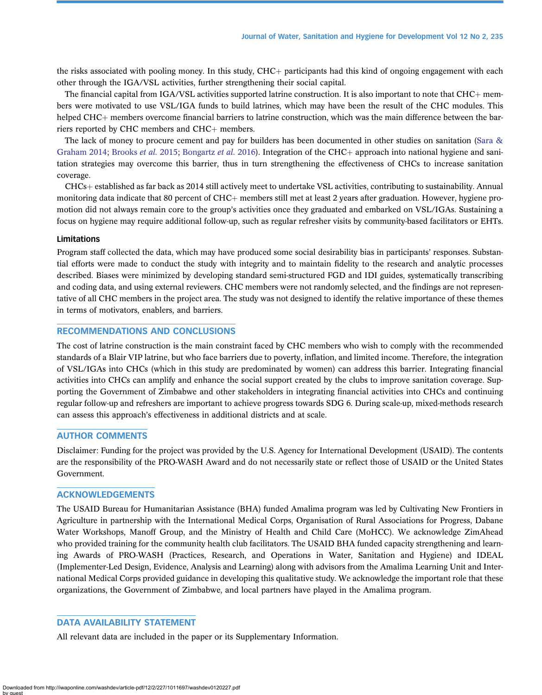the risks associated with pooling money. In this study, CHC+ participants had this kind of ongoing engagement with each other through the IGA/VSL activities, further strengthening their social capital.

The financial capital from IGA/VSL activities supported latrine construction. It is also important to note that  $CHC+$  members were motivated to use VSL/IGA funds to build latrines, which may have been the result of the CHC modules. This helped CHC $+$  members overcome financial barriers to latrine construction, which was the main difference between the barriers reported by CHC members and CHC $+$  members.

The lack of money to procure cement and pay for builders has been documented in other studies on sanitation [\(Sara &](#page-9-0) [Graham 2014](#page-9-0); [Brooks](#page-9-0) et al. 2015; [Bongartz](#page-9-0) et al. 2016). Integration of the CHC+ approach into national hygiene and sanitation strategies may overcome this barrier, thus in turn strengthening the effectiveness of CHCs to increase sanitation coverage.

CHCs+ established as far back as 2014 still actively meet to undertake VSL activities, contributing to sustainability. Annual monitoring data indicate that 80 percent of CHC+ members still met at least 2 years after graduation. However, hygiene promotion did not always remain core to the group's activities once they graduated and embarked on VSL/IGAs. Sustaining a focus on hygiene may require additional follow-up, such as regular refresher visits by community-based facilitators or EHTs.

## Limitations

Program staff collected the data, which may have produced some social desirability bias in participants' responses. Substantial efforts were made to conduct the study with integrity and to maintain fidelity to the research and analytic processes described. Biases were minimized by developing standard semi-structured FGD and IDI guides, systematically transcribing and coding data, and using external reviewers. CHC members were not randomly selected, and the findings are not representative of all CHC members in the project area. The study was not designed to identify the relative importance of these themes in terms of motivators, enablers, and barriers.

## RECOMMENDATIONS AND CONCLUSIONS

The cost of latrine construction is the main constraint faced by CHC members who wish to comply with the recommended standards of a Blair VIP latrine, but who face barriers due to poverty, inflation, and limited income. Therefore, the integration of VSL/IGAs into CHCs (which in this study are predominated by women) can address this barrier. Integrating financial activities into CHCs can amplify and enhance the social support created by the clubs to improve sanitation coverage. Supporting the Government of Zimbabwe and other stakeholders in integrating financial activities into CHCs and continuing regular follow-up and refreshers are important to achieve progress towards SDG 6. During scale-up, mixed-methods research can assess this approach's effectiveness in additional districts and at scale.

## AUTHOR COMMENTS

Disclaimer: Funding for the project was provided by the U.S. Agency for International Development (USAID). The contents are the responsibility of the PRO-WASH Award and do not necessarily state or reflect those of USAID or the United States Government.

## ACKNOWLEDGEMENTS

The USAID Bureau for Humanitarian Assistance (BHA) funded Amalima program was led by Cultivating New Frontiers in Agriculture in partnership with the International Medical Corps, Organisation of Rural Associations for Progress, Dabane Water Workshops, Manoff Group, and the Ministry of Health and Child Care (MoHCC). We acknowledge ZimAhead who provided training for the community health club facilitators. The USAID BHA funded capacity strengthening and learning Awards of PRO-WASH (Practices, Research, and Operations in Water, Sanitation and Hygiene) and IDEAL (Implementer-Led Design, Evidence, Analysis and Learning) along with advisors from the Amalima Learning Unit and International Medical Corps provided guidance in developing this qualitative study. We acknowledge the important role that these organizations, the Government of Zimbabwe, and local partners have played in the Amalima program.

## DATA AVAILABILITY STATEMENT

All relevant data are included in the paper or its Supplementary Information.